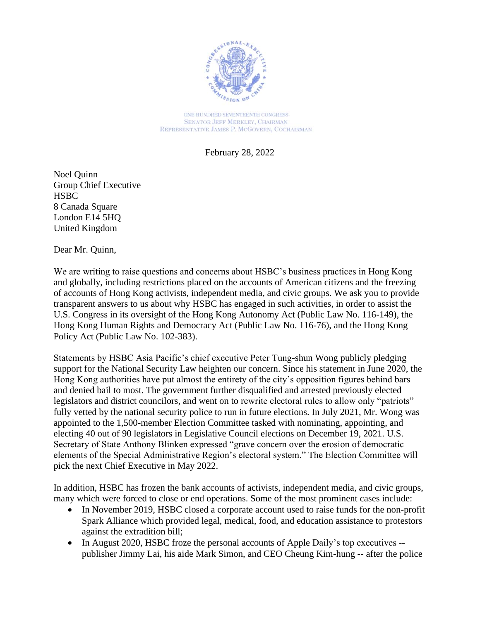

ONE HUNDRED SEVENTEENTH CONGRESS **SENATOR JEFF MERKLEY, CHAIRMAN** REPRESENTATIVE JAMES P. MCGOVERN, COCHAIRMAN

February 28, 2022

Noel Quinn Group Chief Executive **HSBC** 8 Canada Square London E14 5HQ United Kingdom

Dear Mr. Quinn,

We are writing to raise questions and concerns about HSBC's business practices in Hong Kong and globally, including restrictions placed on the accounts of American citizens and the freezing of accounts of Hong Kong activists, independent media, and civic groups. We ask you to provide transparent answers to us about why HSBC has engaged in such activities, in order to assist the U.S. Congress in its oversight of the Hong Kong Autonomy Act (Public Law No. 116-149), the Hong Kong Human Rights and Democracy Act (Public Law No. 116-76), and the Hong Kong Policy Act (Public Law No. 102-383).

Statements by HSBC Asia Pacific's chief executive Peter Tung-shun Wong publicly pledging support for the National Security Law heighten our concern. Since his statement in June 2020, the Hong Kong authorities have put almost the entirety of the city's opposition figures behind bars and denied bail to most. The government further disqualified and arrested previously elected legislators and district councilors, and went on to rewrite electoral rules to allow only "patriots" fully vetted by the national security police to run in future elections. In July 2021, Mr. Wong was appointed to the 1,500-member Election Committee tasked with nominating, appointing, and electing 40 out of 90 legislators in Legislative Council elections on December 19, 2021. U.S. Secretary of State Anthony Blinken expressed "grave concern over the erosion of democratic elements of the Special Administrative Region's electoral system." The Election Committee will pick the next Chief Executive in May 2022.

In addition, HSBC has frozen the bank accounts of activists, independent media, and civic groups, many which were forced to close or end operations. Some of the most prominent cases include:

- In November 2019, HSBC closed a corporate account used to raise funds for the non-profit Spark Alliance which provided legal, medical, food, and education assistance to protestors against the extradition bill;
- In August 2020, HSBC froze the personal accounts of Apple Daily's top executives -publisher Jimmy Lai, his aide Mark Simon, and CEO Cheung Kim-hung -- after the police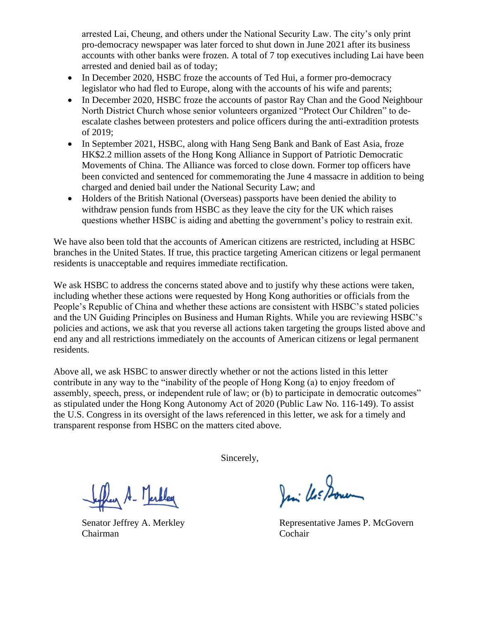arrested Lai, Cheung, and others under the National Security Law. The city's only print pro-democracy newspaper was later forced to shut down in June 2021 after its business accounts with other banks were frozen. A total of 7 top executives including Lai have been arrested and denied bail as of today;

- In December 2020, HSBC froze the accounts of Ted Hui, a former pro-democracy legislator who had fled to Europe, along with the accounts of his wife and parents;
- In December 2020, HSBC froze the accounts of pastor Ray Chan and the Good Neighbour North District Church whose senior volunteers organized "Protect Our Children" to deescalate clashes between protesters and police officers during the anti-extradition protests of 2019;
- In September 2021, HSBC, along with Hang Seng Bank and Bank of East Asia, froze HK\$2.2 million assets of the Hong Kong Alliance in Support of Patriotic Democratic Movements of China. The Alliance was forced to close down. Former top officers have been convicted and sentenced for commemorating the June 4 massacre in addition to being charged and denied bail under the National Security Law; and
- Holders of the British National (Overseas) passports have been denied the ability to withdraw pension funds from HSBC as they leave the city for the UK which raises questions whether HSBC is aiding and abetting the government's policy to restrain exit.

We have also been told that the accounts of American citizens are restricted, including at HSBC branches in the United States. If true, this practice targeting American citizens or legal permanent residents is unacceptable and requires immediate rectification.

We ask HSBC to address the concerns stated above and to justify why these actions were taken, including whether these actions were requested by Hong Kong authorities or officials from the People's Republic of China and whether these actions are consistent with HSBC's stated policies and the UN Guiding Principles on Business and Human Rights. While you are reviewing HSBC's policies and actions, we ask that you reverse all actions taken targeting the groups listed above and end any and all restrictions immediately on the accounts of American citizens or legal permanent residents.

Above all, we ask HSBC to answer directly whether or not the actions listed in this letter contribute in any way to the "inability of the people of Hong Kong (a) to enjoy freedom of assembly, speech, press, or independent rule of law; or (b) to participate in democratic outcomes" as stipulated under the Hong Kong Autonomy Act of 2020 (Public Law No. 116-149). To assist the U.S. Congress in its oversight of the laws referenced in this letter, we ask for a timely and transparent response from HSBC on the matters cited above.

Sincerely,

fleer A - Merkley

Chairman Cochair

Jani Us Down

Senator Jeffrey A. Merkley **Representative James P. McGovern**